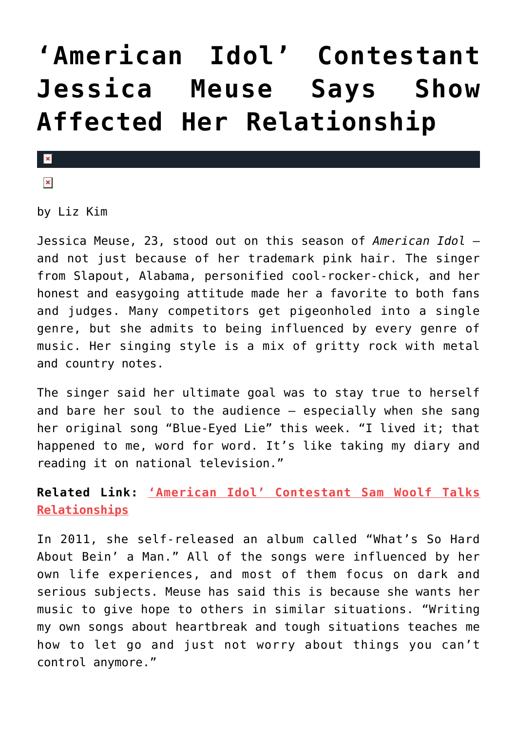## **['American Idol' Contestant](https://cupidspulse.com/75285/american-idol-contestant-jessica-meuse-says-show-affected-her-relationship/) [Jessica Meuse Says Show](https://cupidspulse.com/75285/american-idol-contestant-jessica-meuse-says-show-affected-her-relationship/) [Affected Her Relationship](https://cupidspulse.com/75285/american-idol-contestant-jessica-meuse-says-show-affected-her-relationship/)**

## $\pmb{\times}$

 $\pmb{\times}$ 

by Liz Kim

Jessica Meuse, 23, stood out on this season of *American Idol* and not just because of her trademark pink hair. The singer from Slapout, Alabama, personified cool-rocker-chick, and her honest and easygoing attitude made her a favorite to both fans and judges. Many competitors get pigeonholed into a single genre, but she admits to being influenced by every genre of music. Her singing style is a mix of gritty rock with metal and country notes.

The singer said her ultimate goal was to stay true to herself and bare her soul to the audience — especially when she sang her original song "Blue-Eyed Lie" this week. "I lived it; that happened to me, word for word. It's like taking my diary and reading it on national television."

**Related Link: ['American Idol' Contestant Sam Woolf Talks](http://www.cupidspulse.com/american-idol-contestant-sam-woolf-talks-relationships/) [Relationships](http://www.cupidspulse.com/american-idol-contestant-sam-woolf-talks-relationships/)**

In 2011, she self-released an album called "What's So Hard About Bein' a Man." All of the songs were influenced by her own life experiences, and most of them focus on dark and serious subjects. Meuse has said this is because she wants her music to give hope to others in similar situations. "Writing my own songs about heartbreak and tough situations teaches me how to let go and just not worry about things you can't control anymore."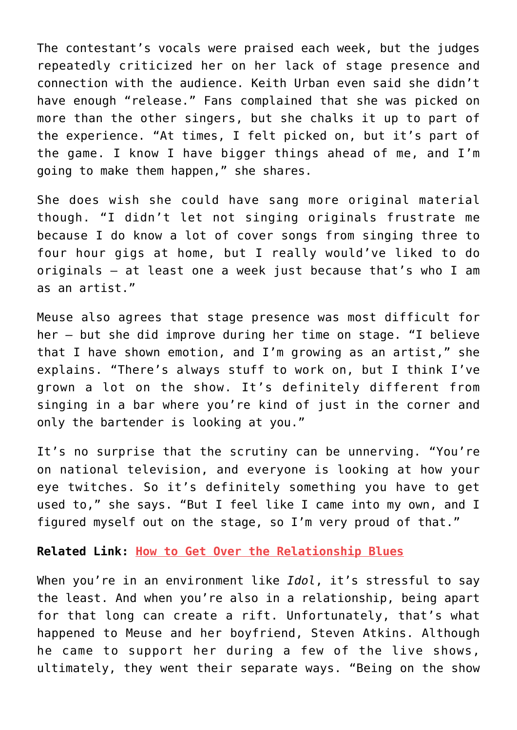The contestant's vocals were praised each week, but the judges repeatedly criticized her on her lack of stage presence and connection with the audience. Keith Urban even said she didn't have enough "release." Fans complained that she was picked on more than the other singers, but she chalks it up to part of the experience. "At times, I felt picked on, but it's part of the game. I know I have bigger things ahead of me, and I'm going to make them happen," she shares.

She does wish she could have sang more original material though. "I didn't let not singing originals frustrate me because I do know a lot of cover songs from singing three to four hour gigs at home, but I really would've liked to do originals — at least one a week just because that's who I am as an artist."

Meuse also agrees that stage presence was most difficult for her — but she did improve during her time on stage. "I believe that I have shown emotion, and I'm growing as an artist," she explains. "There's always stuff to work on, but I think I've grown a lot on the show. It's definitely different from singing in a bar where you're kind of just in the corner and only the bartender is looking at you."

It's no surprise that the scrutiny can be unnerving. "You're on national television, and everyone is looking at how your eye twitches. So it's definitely something you have to get used to," she says. "But I feel like I came into my own, and I figured myself out on the stage, so I'm very proud of that."

**Related Link: [How to Get Over the Relationship Blues](http://www.cupidspulse.com/get-over-relationship-blues/)**

When you're in an environment like *Idol*, it's stressful to say the least. And when you're also in a relationship, being apart for that long can create a rift. Unfortunately, that's what happened to Meuse and her boyfriend, Steven Atkins. Although he came to support her during a few of the live shows, ultimately, they went their separate ways. "Being on the show